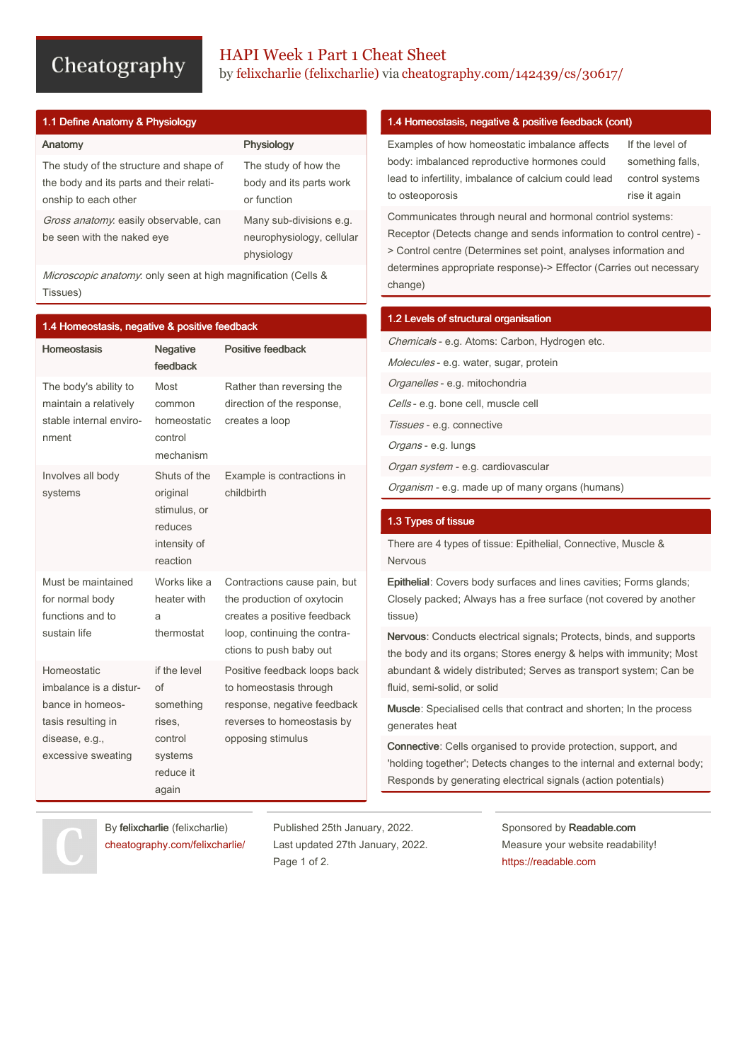# Cheatography

# HAPI Week 1 Part 1 Cheat Sheet by felixcharlie [\(felixcharlie\)](http://www.cheatography.com/felixcharlie/) via [cheatography.com/142439/cs/30617/](http://www.cheatography.com/felixcharlie/cheat-sheets/hapi-week-1-part-1)

| 1.1 Define Anatomy & Physiology                                                                             |                                                                    |  |
|-------------------------------------------------------------------------------------------------------------|--------------------------------------------------------------------|--|
| Anatomy                                                                                                     | Physiology                                                         |  |
| The study of the structure and shape of<br>the body and its parts and their relati-<br>onship to each other | The study of how the<br>body and its parts work<br>or function     |  |
| Gross anatomy. easily observable, can<br>be seen with the naked eye                                         | Many sub-divisions e.g.<br>neurophysiology, cellular<br>physiology |  |
|                                                                                                             |                                                                    |  |

Microscopic anatomy. only seen at high magnification (Cells & Tissues)

| 1.4 Homeostasis, negative & positive feedback                                                                           |                                                                                       |                                                                                                                                                      |  |
|-------------------------------------------------------------------------------------------------------------------------|---------------------------------------------------------------------------------------|------------------------------------------------------------------------------------------------------------------------------------------------------|--|
| <b>Homeostasis</b>                                                                                                      | <b>Negative</b><br>feedback                                                           | <b>Positive feedback</b>                                                                                                                             |  |
| The body's ability to<br>maintain a relatively<br>stable internal enviro-<br>nment                                      | Most<br>common<br>homeostatic<br>control<br>mechanism                                 | Rather than reversing the<br>direction of the response.<br>creates a loop                                                                            |  |
| Involves all body<br>systems                                                                                            | Shuts of the<br>original<br>stimulus, or<br>reduces<br>intensity of<br>reaction       | Example is contractions in<br>childbirth                                                                                                             |  |
| Must be maintained<br>for normal body<br>functions and to<br>sustain life                                               | Works like a<br>heater with<br>a<br>thermostat                                        | Contractions cause pain, but<br>the production of oxytocin<br>creates a positive feedback<br>loop, continuing the contra-<br>ctions to push baby out |  |
| Homeostatic<br>imbalance is a distur-<br>bance in homeos-<br>tasis resulting in<br>disease, e.g.,<br>excessive sweating | if the level<br>Ωf<br>something<br>rises,<br>control<br>systems<br>reduce it<br>again | Positive feedback loops back<br>to homeostasis through<br>response, negative feedback<br>reverses to homeostasis by<br>opposing stimulus             |  |

## 1.4 Homeostasis, negative & positive feedback (cont)

Examples of how homeostatic imbalance affects body: imbalanced reproductive hormones could lead to infertility, imbalance of calcium could lead to osteoporosis

If the level of something falls, control systems rise it again

Communicates through neural and hormonal contriol systems: Receptor (Detects change and sends information to control centre) - > Control centre (Determines set point, analyses information and determines appropriate response)-> Effector (Carries out necessary change)

#### 1.2 Levels of structural organisation

Chemicals - e.g. Atoms: Carbon, Hydrogen etc. Molecules - e.g. water, sugar, protein Organelles - e.g. mitochondria

Cells - e.g. bone cell, muscle cell

Tissues - e.g. connective

Organs - e.g. lungs

Organ system - e.g. cardiovascular

Organism - e.g. made up of many organs (humans)

#### 1.3 Types of tissue

There are 4 types of tissue: Epithelial, Connective, Muscle & Nervous

Epithelial: Covers body surfaces and lines cavities; Forms glands; Closely packed; Always has a free surface (not covered by another tissue)

Nervous: Conducts electrical signals; Protects, binds, and supports the body and its organs; Stores energy & helps with immunity; Most abundant & widely distributed; Serves as transport system; Can be fluid, semi-solid, or solid

Muscle: Specialised cells that contract and shorten; In the process generates heat

Connective: Cells organised to provide protection, support, and 'holding together'; Detects changes to the internal and external body; Responds by generating electrical signals (action potentials)

By felixcharlie (felixcharlie) [cheatography.com/felixcharlie/](http://www.cheatography.com/felixcharlie/) Published 25th January, 2022. Last updated 27th January, 2022. Page 1 of 2.

Sponsored by Readable.com Measure your website readability! <https://readable.com>